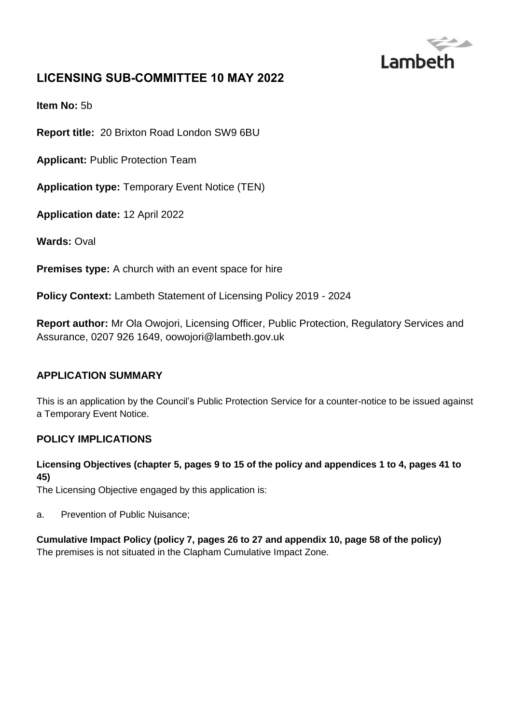

# **LICENSING SUB-COMMITTEE 10 MAY 2022**

**Item No:** 5b

**Report title:** 20 Brixton Road London SW9 6BU

**Applicant:** Public Protection Team

**Application type:** Temporary Event Notice (TEN)

**Application date:** 12 April 2022

**Wards:** Oval

**Premises type:** A church with an event space for hire

**Policy Context:** Lambeth Statement of Licensing Policy 2019 - 2024

**Report author:** Mr Ola Owojori, Licensing Officer, Public Protection, Regulatory Services and Assurance, 0207 926 1649, oowojori@lambeth.gov.uk

#### **APPLICATION SUMMARY**

This is an application by the Council's Public Protection Service for a counter-notice to be issued against a Temporary Event Notice.

#### **POLICY IMPLICATIONS**

#### **Licensing Objectives (chapter 5, pages 9 to 15 of the policy and appendices 1 to 4, pages 41 to 45)**

The Licensing Objective engaged by this application is:

a. Prevention of Public Nuisance;

**Cumulative Impact Policy (policy 7, pages 26 to 27 and appendix 10, page 58 of the policy)** The premises is not situated in the Clapham Cumulative Impact Zone.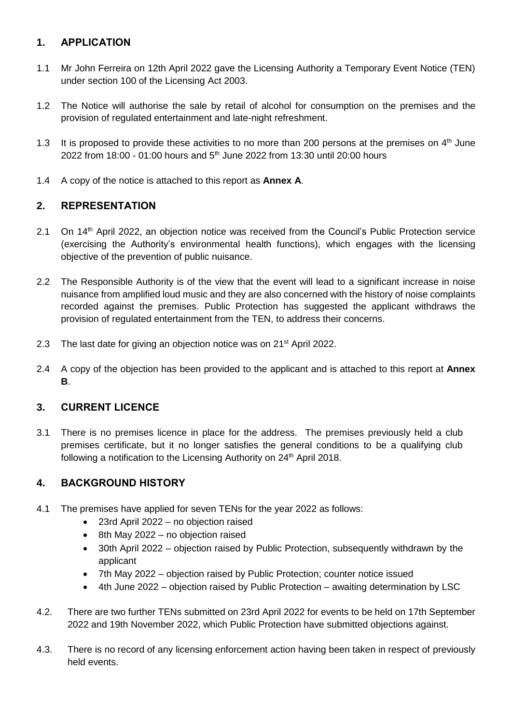## **1. APPLICATION**

- 1.1 Mr John Ferreira on 12th April 2022 gave the Licensing Authority a Temporary Event Notice (TEN) under section 100 of the Licensing Act 2003.
- 1.2 The Notice will authorise the sale by retail of alcohol for consumption on the premises and the provision of regulated entertainment and late-night refreshment.
- 1.3 It is proposed to provide these activities to no more than 200 persons at the premises on  $4<sup>th</sup>$  June 2022 from 18:00 - 01:00 hours and 5th June 2022 from 13:30 until 20:00 hours
- 1.4 A copy of the notice is attached to this report as **Annex A**.

## **2. REPRESENTATION**

- 2.1 On 14<sup>th</sup> April 2022, an objection notice was received from the Council's Public Protection service (exercising the Authority's environmental health functions), which engages with the licensing objective of the prevention of public nuisance.
- 2.2 The Responsible Authority is of the view that the event will lead to a significant increase in noise nuisance from amplified loud music and they are also concerned with the history of noise complaints recorded against the premises. Public Protection has suggested the applicant withdraws the provision of regulated entertainment from the TEN, to address their concerns.
- 2.3 The last date for giving an objection notice was on 21<sup>st</sup> April 2022.
- 2.4 A copy of the objection has been provided to the applicant and is attached to this report at **Annex B**.

### **3. CURRENT LICENCE**

3.1 There is no premises licence in place for the address. The premises previously held a club premises certificate, but it no longer satisfies the general conditions to be a qualifying club following a notification to the Licensing Authority on 24<sup>th</sup> April 2018.

### **4. BACKGROUND HISTORY**

- 4.1 The premises have applied for seven TENs for the year 2022 as follows:
	- 23rd April 2022 no objection raised
	- $\bullet$  8th May 2022 no objection raised
	- 30th April 2022 objection raised by Public Protection, subsequently withdrawn by the applicant
	- 7th May 2022 objection raised by Public Protection; counter notice issued
	- 4th June 2022 objection raised by Public Protection awaiting determination by LSC
- 4.2. There are two further TENs submitted on 23rd April 2022 for events to be held on 17th September 2022 and 19th November 2022, which Public Protection have submitted objections against.
- 4.3. There is no record of any licensing enforcement action having been taken in respect of previously held events.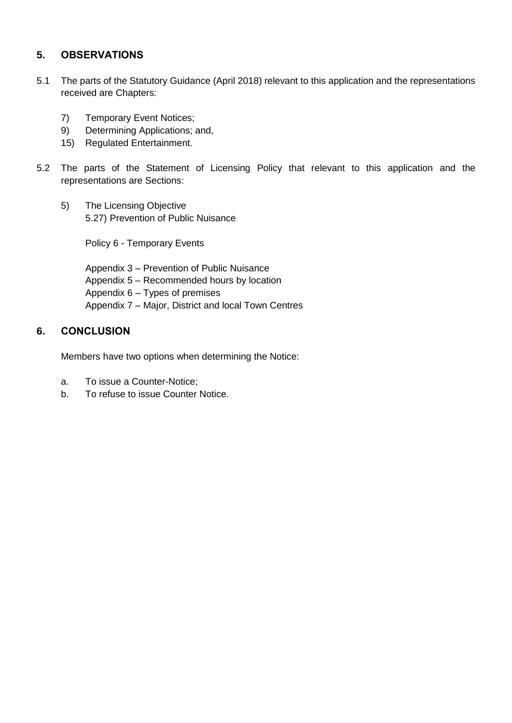#### **5. OBSERVATIONS**

- 5.1 The parts of the Statutory Guidance (April 2018) relevant to this application and the representations received are Chapters:
	- 7) Temporary Event Notices;
	- 9) Determining Applications; and,
	- 15) Regulated Entertainment.
- 5.2 The parts of the Statement of Licensing Policy that relevant to this application and the representations are Sections:
	- 5) The Licensing Objective 5.27) Prevention of Public Nuisance

Policy 6 - Temporary Events

Appendix 3 – Prevention of Public Nuisance Appendix 5 – Recommended hours by location Appendix 6 – Types of premises Appendix 7 – Major, District and local Town Centres

#### **6. CONCLUSION**

Members have two options when determining the Notice:

- a. To issue a Counter-Notice;
- b. To refuse to issue Counter Notice.